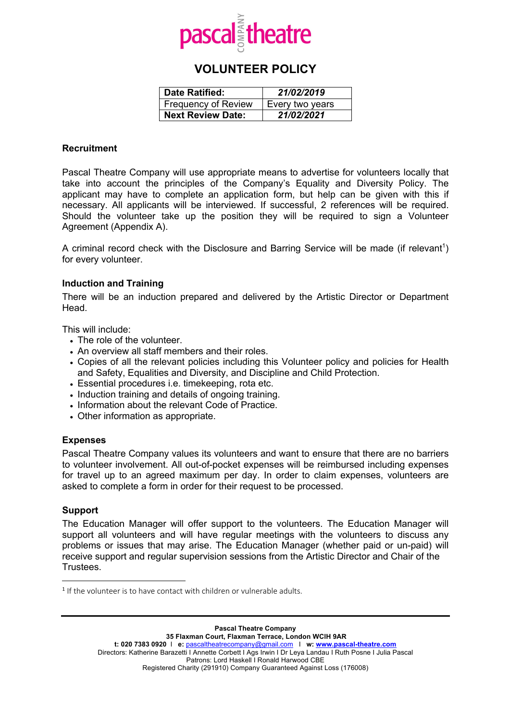

# **VOLUNTEER POLICY**

| <b>Date Ratified:</b>      | 21/02/2019      |
|----------------------------|-----------------|
| <b>Frequency of Review</b> | Every two years |
| <b>Next Review Date:</b>   | 21/02/2021      |

## **Recruitment**

Pascal Theatre Company will use appropriate means to advertise for volunteers locally that take into account the principles of the Company's Equality and Diversity Policy. The applicant may have to complete an application form, but help can be given with this if necessary. All applicants will be interviewed. If successful, 2 references will be required. Should the volunteer take up the position they will be required to sign a Volunteer Agreement (Appendix A).

A criminal record check with the Disclosure and Barring Service will be made (if relevant<sup>1</sup>) for every volunteer.

# **Induction and Training**

There will be an induction prepared and delivered by the Artistic Director or Department Head.

This will include:

- The role of the volunteer.
- An overview all staff members and their roles.
- Copies of all the relevant policies including this Volunteer policy and policies for Health and Safety, Equalities and Diversity, and Discipline and Child Protection.
- Essential procedures i.e. timekeeping, rota etc.
- Induction training and details of ongoing training.
- Information about the relevant Code of Practice.
- Other information as appropriate.

#### **Expenses**

Pascal Theatre Company values its volunteers and want to ensure that there are no barriers to volunteer involvement. All out-of-pocket expenses will be reimbursed including expenses for travel up to an agreed maximum per day. In order to claim expenses, volunteers are asked to complete a form in order for their request to be processed.

#### **Support**

 $\overline{a}$ 

The Education Manager will offer support to the volunteers. The Education Manager will support all volunteers and will have regular meetings with the volunteers to discuss any problems or issues that may arise. The Education Manager (whether paid or un-paid) will receive support and regular supervision sessions from the Artistic Director and Chair of the Trustees.

<sup>&</sup>lt;sup>1</sup> If the volunteer is to have contact with children or vulnerable adults.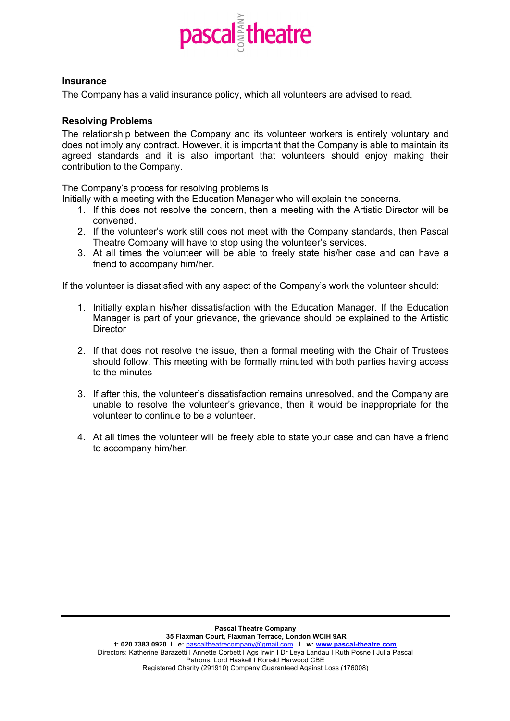

## **Insurance**

The Company has a valid insurance policy, which all volunteers are advised to read.

# **Resolving Problems**

The relationship between the Company and its volunteer workers is entirely voluntary and does not imply any contract. However, it is important that the Company is able to maintain its agreed standards and it is also important that volunteers should enjoy making their contribution to the Company.

The Company's process for resolving problems is

Initially with a meeting with the Education Manager who will explain the concerns.

- 1. If this does not resolve the concern, then a meeting with the Artistic Director will be convened.
- 2. If the volunteer's work still does not meet with the Company standards, then Pascal Theatre Company will have to stop using the volunteer's services.
- 3. At all times the volunteer will be able to freely state his/her case and can have a friend to accompany him/her.

If the volunteer is dissatisfied with any aspect of the Company's work the volunteer should:

- 1. Initially explain his/her dissatisfaction with the Education Manager. If the Education Manager is part of your grievance, the grievance should be explained to the Artistic **Director**
- 2. If that does not resolve the issue, then a formal meeting with the Chair of Trustees should follow. This meeting with be formally minuted with both parties having access to the minutes
- 3. If after this, the volunteer's dissatisfaction remains unresolved, and the Company are unable to resolve the volunteer's grievance, then it would be inappropriate for the volunteer to continue to be a volunteer.
- 4. At all times the volunteer will be freely able to state your case and can have a friend to accompany him/her.